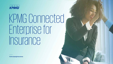

# KPMG Connected Enterprise for Insurance

**[home.kpmg/insurance](https://home.kpmg/insurance)**

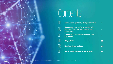# Contents





02 **Connected insurers have one thing in common: They are built around their customers 4** 03 **Connected insurers master eight core capabilities <sup>5</sup>**  $\vert \perp$  **Why KPMG? 14** 

 $\begin{bmatrix} 1 \ 0 \end{bmatrix}$  **Read our latest insights 15** 

 $\begin{array}{ccc} \begin{array}{ccc} \end{array} \begin{array}{ccc} \end{array}$  Get in touch with one of our experts 16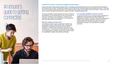### An insurer's guide to getting connected



#### **A guide for insurers carrying out digital transformation**

Insurers have been hurtling towards a perfect storm of converging market trends that all point to the inconvenient truth that disruption and change are here to stay. To defend their position, insurers must set their ambitions beyond merely weathering the storm. They need to focus on coming out of this storm stronger, more resilient and ready to take on the inevitable storms of the future. In other words, they need to embrace the digital transformation by 'getting connected'. **This guide explains how**.

The key to being able to tackle this perfect storm lies in the title of this publication: Get connected! When we say 'get connected' we mean 'get connected in every possible way'. Connect to your customers, your partners, your employees, to every single party and every single part of your ecosystem.

#### **What does 'getting connected' mean?**

Transformative change must be executed with a holistic view, tying together the front, middle and back office integrating the organization's capabilities and systems with the customer touchpoints. It means crossing boundaries, tearing down walls, combining silos — all so that you can anticipate how one change in your organization's ecosystem creates a chain reaction across your organization's people, processes and technology.

#### **You need eight capabilities to become connected**

To capture this holistic view, we introduce eight capabilities that together form a framework that we believe enables your organizations to become 'connected'. They are the ingredients for building a strong offensive against the perfect storm we are hurtling towards. We hope they will inspire you to enable transformative change in your organizations by 'getting connected'.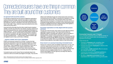# Connected insurers have one thing in common: They are built around their customers

#### **An approach built around the customer…**

It is generally accepted that since the advent of digital-first organizations, such as Amazon and Google, customers have begun to expect instant gratification or 24/7 service. We also know that these expectations have permeated into customers' expectations of the other services that hold a share in their wallet. Today, customers expect personalized service when, where and how they want it.

Armed with all the information they find online mostly through comparison websites, and with more choice from new entrants, insurance customers are now more empowered than ever. Insurers increasingly find themselves in a battle to stand out — so much so that success today requires a solution that is built around the customer; one that senses and responds to changes in the customer's expectations with agility and flexibility. This embodies what we call a Connected insurer — an insurer that is customer-centered, agile and digitally focused to keep up with today's challenges.

#### **…requires a holistic view of your organization**

KPMG-commissioned research by Forrester\* reveals that highperforming organizations build robust growth strategies by making significant investments in eight core capabilities (discussed in the next section). These capabilities can be recognized in some way or another within initiatives in every digital transformation effort. However, successful digital transformation efforts develop these capabilities holistically through a connected view of the organization.

Connected insurers use five 'lenses' that are inextricably linked to the customer as well as one another (see diagram to the right). They have the ability to look holistically through each of these lenses when executing a connected journey and the ability to understand the implications a change in one has for the other lenses. They are keenly aware of how all the different elements and players in an enterprise are connected, and how to orchestrate change along those connections. All the while painting inside the lines of a regulated environment, adopting the lens of the regulator to understand what strokes and colors to paint with.

#### **Successful organizations are fully aligned with their purpose and brand**

Through each of the five lenses, there needs to be clear alignment with the organization's purpose and brand. This means that the choices the organization makes in connecting with customers or with an ecosystem of business partners, should be driven by who they want to be as an organization. For example, a newspaper that aims to continuously keep their readers fully informed will make different choices than a newspaper focused on providing short updates. Both can successfully attract a large readership, but their success depends on their ability to deliver on their brand promise.

#### **Every insurer is on a journey to becoming a Connected insurer**

Having to be customer-centric and digitally transformed is not new. One could even argue that all insurers have, for a while, been on a path to becoming a Connected insurer. But it is a rocky path. We often see executives and their firms undertake enormous efforts to transform their business to become digitally enabled. Even so, a large part of the industry still struggles to find the right focus and align their efforts to move at a fast-enough pace.



#### **Connected insurers use 5 'lenses'**

Truly connected companies use five different 'lenses' to draw the right path forward within the boundaries of a regulated environment.

#### These lenses are:

- Connect to **customers** with compelling value propositions, opportunities and interactions.
- Connect and empower **employees** to deliver on the customer promise.
- Connect **front, middle and back** offices to execute the customer growth agenda.
- Connect the ecosystem of **business partners** to jointly delivery on commitments to customers.
- All within a **regulated environment** with high expectations from regulators and the general public.

\*Base: 1,299 professionals involved with customer-centric strategy decisions Source: A commissioned study conducted by Forrester Consulting on behalf of KPMG, September 2018.

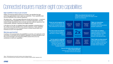# Connected insurers master eight core capabilities

#### **Eight capabilities to help you get connected**

KPMG commissioned global research by Forrester\* has identified that highperforming organizations invest in eight core capabilities. These capabilities span across all attributes of the customer experience.

We believe that — when leveraged effectively through the five lenses — investment in developing these capabilities will result in a connected organization. One that breaks through organizational silos to provide next-level customer experience, that is personalized, seamless, responsive and digitally enabled.

In the figure on the right, we highlight these eight capabilities, presenting them in the context of how they translate to the customer experience. These capabilities serve as the blueprint for the Connected insurer to embed transformation as a business-as-usual in the organization.

#### **What does good look like?**

Investing in and pursuing these core capabilities is a journey, not a goal post. In the next section, we will delve into the different capabilities, providing examples of how they can be leveraged, and showcasing KPMG solutions that can act as accelerators to build such capabilities.

|                                                                                                                                                                          |                                               | "Offer me products that work for me"<br>Customers expect products that apply to their<br>specific circumstances |                                                  |                                                                                                                                                                   |
|--------------------------------------------------------------------------------------------------------------------------------------------------------------------------|-----------------------------------------------|-----------------------------------------------------------------------------------------------------------------|--------------------------------------------------|-------------------------------------------------------------------------------------------------------------------------------------------------------------------|
| "Know me and recognize me"<br>Customers want policies with<br>insurers who recognize them and<br>their preferences as individuals                                        | Insight-driven<br>strategies &<br>actions     | Innovative<br>products &<br>services                                                                            | Experience-<br>centricity<br>by design           | "Make our interactions<br>enjoyable and easy"<br>Customers expect personalized,<br>empathic experiences                                                           |
| "Don't try to sell me products"<br>Customers want to engage on<br>their terms, via their channel of<br>choice                                                            | <b>Seamless</b><br>interactions<br>& commerce | <b>2x</b><br><b>Impact</b>                                                                                      | Responsive<br>operations                         | "Don't keep me waiting"<br>Customers expect immediate<br>fulfillment following a decision<br>(e.g. claim payment, card<br>issuance, loan payment offer)           |
| "Let me speak to motivated<br>staff, empowered to help me"<br>Customers want to speak to<br>humans for specific cases<br>(e.g. high value payments,<br>complex products) | Aligned and<br>empowered<br>workforce         | Digitally-<br>enabled<br>technology<br>architecture                                                             | Integrated<br>partner &<br>alliance<br>ecosystem | "Don't make me shop around"<br>Customers expect insurers to<br>offer a full range of products and<br>services, partnering with other<br>providers where necessary |
| "Keep my information safe and update your<br>service without disruption"<br>Customers want to know their data is secure<br>and expect minimal service disruption         |                                               |                                                                                                                 |                                                  |                                                                                                                                                                   |

\*Base: 1,299 professionals involved with customer-centric strategy decisions Source: A commissioned study conducted by Forrester Consulting on behalf of KPMG, September 2018.

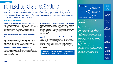# Insights-driven strategies & actions

A Connected insurer is a truly data-driven organization. It leverages real-time data and insights to optimize the enterprise, delivers personalized and authentic experiences to its clients and helps clients manage the everyday risks they face. Insurers have a history of basing important (pricing) decisions on large amounts of meticulously analyzed data, and many have invested in data scientists and analysts. This led to new propositions such as usage- or behavior-based pricing. Now, they set their sights on becoming truly data driven.

#### **What does good look like?**

#### **Dynamic pricing as a response to changes in risk profiles**

Once a consolidated market, insurance is now a fragmented business landscape with low barriers to market entry. On the demand side, millennials are willing to try nascent online start-ups that offer flexible premium pricing depending on changes in risk profiles. Customers demand that responsible behavior be rewarded with lower premiums or other benefits.

#### **Single view of the customer across all policy administration systems**

Sources of digital and social media can provide insurers with publicly available information about a customer's life. This helps insurers to develop personalized marketing strategies and guidance on next best actions (both predictive and prescriptive) for individual customers. This can entail cross-selling of other risk mitigation and value-added services, in addition to traditional insurance policies.

#### **Predictive analytics that help with next best actions**

Next best is a customer-centric approach that evaluates possible actions when an event or trigger has occurred before selecting the best suited. Predictive analytics helps in servicing clients, commercial and sales efforts, prevention activities and much more to ensure a value-added customer journey.

#### **Achieving 'compliance by design' to preserve data governance**

Building data systems to inherently embed compliance to regulations within internal processes is a critical aspect of a Connected Insurer. Effectively managing organizational policies and ethical security standards by design, promotes innovation since it minimizes security concerns and repetitive efforts. Clear data governance is brought about by building compliance within rather than around the systems and processes.

#### **Creating value and excellence through integrated modelling and reporting**

As reporting converges in the areas of finance, risk and actuarial, insurers can gain competitive advantage by simplifying reporting and enhancing clarity in business data to their stakeholders through integrated reporting. Communicating their vision through granular insights of strategic priorities and business models will help key stakeholders take better-informed decisions that further build the trust in the insurer.

**"Know me. I want my insurer to communicate with me when, where and how I prefer it."**



surveyed globally before the pandemic, reported being extremely effective at collecting valuable data

Source: Harvey Nash/KPMG CIO Survey 2020

**Our accelerators to build this capability**

### — **Data and analytics**

KPMG firms' advanced data management capabilities are designed to help organizations overcome the challenges that stem from managing large amounts of data and complex combinations of data sources and data models. We have a long track record of helping clients establish a data governance framework that can serve as the foundation for trust, helping to ensure long-term data quality, accuracy and compliance.

### — **Ethics/AI in control**

KPMG Artificial Intelligence In Control implements a model to help guide organizations along the AI evolutionary lifecycle from strategy through execution to evolution. The AI In Control solution includes methodologies, tools and controls for an AI program to drive better business outcomes.

**Digitally** enabled technology architecture

Insightdriven strategies & actions

Innovative products & services

Experiencecentricity by design

**Seamless** interactions & commerce

**Responsive** operations

Aligned & empowered workforce

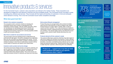# Innovative products & services

For the Connected insurer, customer value propositions are tailored to the market of today. These propositions are developed to engage the most attractive customers and drive profitable growth. The Connected insurer innovates in areas including price, products and services. They innovate with the needs and priorities of customers in mind and anticipate where demand is moving. This is how the Connected insurer builds competitive advantage.

#### **What does good look like?**

#### **Rooted in the customer ecosystems**

The ecosystems which customers inhabit are changing and Connected insurers have a sense of understanding of the implications of those changes. Take the mobility ecosystem, where car manufacturers are developing Autonomous Vehicles and providing Mobility-as-a-Service (MaaS), which fundamentally changes the risk of driving. Having such a sensing capability enables a quick and innovative response.

#### **Short time to market for new products and services**

The new product cycle and changing product configurations are performed with high speed. The world is changing at an accelerating pace and new innovations are being adopted ever quicker. The risk of products reaching the market when a problem is already solved is similarly increasing. A short time-to-market allows insurers to fill the current needs of customers and capture more market share.

#### **Customer centric product and service design**

The product and service design process is not just for customers, but also by customers. Every product or service is designed around the real, verified needs and wants of customers, and tested with customers before being released publicly. This is how insurers can make their products connect to customers and help solve real issues.

#### **Strict product lifecycle management**

Product lifecycles are managed tightly when products inevitably reach the end of their lifecycle (or need to change to stay viable). Products that are no longer viable or needed, offer no value to insurers and their customers. Thus, clear processes are needed for closing down products, migrating products and updating policy terms and conditions. This reduces legacy build-up and allows the insurer to keep up with customer needs, thereby becoming more costefficient.

#### **Products tailored to fit the customer's needs**

The products offered give customers what they truly need, based on data-driven insights and individual circumstances. Product offerings go beyond the traditional insuring of risk and into the domains of risk prevention, risk advice, and tailored pricing methods such as usagebased and behavior-based pricing. Tailored products allow insurers to better help their customers, while driving their own profitability.

**"Protect me — support me in my time of need. I want products that apply to my specific circumstances when I need it"**



of insurers saw **accelerated progress**  in the creation of new digital business models and revenue streams since the **Covid-19 pandemic**

Source: KPMG CEO Outlook 2020

**Our accelerators to build this capability**

— **Powered marketing, sales and service**

KPMG Powered Marketing, Sales and Service provides immediate access to leading practices and processes to help put consumers at the heart of your organization's decision making. It uses pre-configured cloud technology to help transform the front office to meet today's challenges.

### — **Data-driven pricing**

Using data analysis to determine price points allows your organization to balance customer satisfaction with profitability.

**2** Design thinking

A design-thinking approach can be leveraged to help your organization develop and test new business model opportunities.

Insightdriven strategies & actions

> Innovative products & services

Experiencecentricity by design

**Seamless** interactions & commerce

Responsive operations

Aligned & empowered workforce

**Digitally** enabled technology architecture

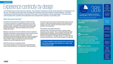### Experience-centricity by design

A Connected insurer is built around its customer. That customer's experience (as well as the experience of employees) is at the core. Connected insurers step back and design the experience they want to deliver to these audiences. They then intentionally create that experience, ensuring it is the same in every interaction with the organization. This helps build a solid reputation with customers and builds teams that understand the business's overarching vision.

#### **What does good look like?**

#### **Consistent brand experience throughout customer journey**

A customer's experience is consistent wherever they are in their customer lifecycle. From marketing to underwriting and from claim handling to policy cancellation. A Connected insurer intentionally shapes that experience, inspiring the feelings customers have towards their insurer.

#### **Employee experience mirrors the desired customer experience**

Employees are treated as equally important as the customer because employees are the ones making it all happen. Clunky and cumbersome internal processes are replaced to empower employees and to help them focus on important work. This is how Connected insurers foster a happy and productive workforce that treats customers the way the organization aims to.

#### **Great CX and focus on customer journey**

The customer experience (CX) and journey a Connected insurer makes customers feel good. The organization meets expectations and resolves issues with minimum effort required on the part of the customer. It offers personalized interactions and instills trust and empathy. This turns customers into brand promotors and builds goodwill for the organization.

#### **Personalized, meaningful interactions**

Interactions with a Connected insurer leave a lasting, positive impression on the customer. This is achieved through meaningful and personalized messages. Generic mailings, for example, are replaced by the proactive offering of relevant information and services at the right time. This allows insurers to connect with their customers at the right time, with the right message in the right way.

**"I want empathic experiences from my insurer. One that manages my policies in a clear and transparent way."**



Insightdriven strategies & actions

> Innovative products & services

Experiencecentricity by design

**Seamless** interactions & commerce

Responsive operations

Aligned & empowered workforce

of consumers are **happy to share their personal data** to improve their experience

Source: Consumers and the new reality, 2020

**Our accelerators to build this capability**

— **CX economics**

Optimizing the economic value of your CX investments by balancing customer expectations and experience.

— **The Six Pillars**

The six universal qualities that help organizations understand how well their customer experience is delivered. When embedded properly, these enable organizations to prioritize the right initiatives and deliver excellent customer experiences.

— **Experience design**

Visualize the customer experience across touchpoints and uncover opportunities to (re)design the experience for specific customer segments.

**Digitally** enabled technology

architecture

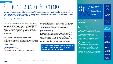# Seamless interactions & commerce

Connected insurers are relationship businesses. Prospects and customers are engaged at multiple touchpoints, with an integrated experience ensured across them. Whether the customer's entry point is marketing, sales or a service desk, the business delivers an omni-channel experience and provides the opportunity to buy in across the lifecycle. While doing so, the Connected insurer makes the customer feel valued.

#### **What does good look like?**

#### **Preference-driven interactions across channels**

Customers can switch between channels as they please, where information can seamlessly transfer from one channel to the next. The Connected insurer ensures this by making multiple channels accessible and by using a constantly updated, efficient CRM system to transfer information across channels. This enhances the customer experience and reduces processing time, as customers and employees do not need to go over the same questions multiple times.

#### **Secure interactions**

Customer privacy is safeguarded through strong identity management systems. The Connected insurer uses methods such as multi-factor authentication for customers logging into their account and strict end-to-end encryption protocols for chats. This helps create (a feeling of) security for the customer and avoids damage to the insurer's reputation.

#### **Optimized channel mix**

The availability of channels is optimized to reflect customers' preferred communication methods. Based on CX economics,

customer preferences as well as other KPIs, Connected insurers continually shift resources to create an optimized channel mix. As demand (and the possibility) for physical meetings is lowered, the Connected insurer may shift resources to chat bots or a call center. This allows it to meet demand in a cost-efficient manner.

#### **Empowered employees**

Employees have the tools and information they need to fully support customers without having to go through too many layers of bureaucracy. The Connected insurer ensures that employees are trained well and have access to the tools that they require, processes are lean and information is readily available when needed. Additionally, employees are empowered to seek out others in the ecosystem when required. This speeds up the customer service process and enhances the sense of purpose for employees.

**"I want a consistent message from the broker, third-party administrator, their carrier, etc. Manage this claim for me, please"**



insurers reported **accelerated progress** on their seamless digital customer experience since the **Covid-19 pandemic**

Source: KPMG CEO Outlook 2020

**Our accelerators to build this capability**

### **Powered Enterprise**

KPMG's Powered Enterprise solution provides a toolkit for rapid business modernization in an organization. Using our pre-configured solutions on leading cloud technology, we help clients integrate solutions to drive efficiency, speed and control. This provides a rapid and solid frontoffice transformation increasing customer retention while reducing cost to sell.

— **Channel analytics**

As many companies shift their customerfacing channels towards digital mediums, we find organizations struggling to adapt the user experience (UX) towards new or different channels. Through our UX and analytics expertise, KPMG firms guide clients towards leveraging and optimizing a superior UX across the right channels to drive growth.

**Seamless** interactions

& commerce

Experiencecentricity by design

Insightdriven strategies & actions

Innovative products & services

Responsive operations

Aligned & empowered workforce

**Digitally** enabled technology architecture

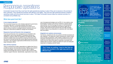# Responsive operations

Connected insurers know they must have the right operational practices in place if they are to execute on the promise to their customers. They operate the business with efficiency and agility. They have the right enterprise decision analytics, operating models and procurement services in place. This helps Connected insurers keep the customer promise in a consistent and profitable way.

#### **What does good look like?**

#### **A one company approach**

The Connected insurer has a one company approach to governance, processes, data and IT to promote simplicity (and reduce complexity). This ensures the right operational processes are in place to achieve maximum synergies between business units and allows for a short time-to-market for change and innovations.

#### **Responsive fraud and financial crime management**

Fraud risk and financial crime management are embedded in the organization's day-to-day operations. Fluctuating volumes and changes in customer needs and regulations are dealt with swiftly. Using all available data and proactively analyzing information puts the insurer in the lead and lets the insurer adjust practices whenever necessary. This increases organizational effectiveness and prevents large remediation efforts.

#### **Race with the machines**

There is continued focus within organizations to digitize their firms in an effort to improve and automate processes. Making use of speechto-text technologies, many insurers have been able to digitize, analyze and leverage their inbound customer calls to improve their customer support channels. Operationally, organizations have made

use of emerging technologies such as RPA, AI, low-code/no-code technologies to speed up the time-to-market for customer-facing improvements. As firms leverage the power of multi-disciplinary teams through citizen development and adopt an agile way of working, they break through functional silos and skills shortage hurdles to deliver new propositions to customers with more speed than ever before.

#### **Integrated core systems and processes**

The finance, actuarial and risk core systems and their processes are fully integrated. That alignment makes subsequently created models more accurate and granular. It also creates a single source of truth. Integration ultimately lowers the cost of control for the Connected insurer and can reduce time spent on reporting. It provides more reliable data for decision making and allows for quick and adequate responses to changing customer needs.

**"Don't keep me waiting. I want to feel that my claims are handled in the right way and in an efficient way"**

of respondents who believe **rapid software delivery** is important, say **changing customer expectations for digital capabilities** is the leading reason why 65%

Insightdriven strategies & actions

> Innovative products & services

Experiencecentricity by design

Source: KPMG Customer Experience Survey 2020

**Our accelerators to build this capability**

— **Digital actuary solution**

Digital advancements have enabled actuaries to make better use of advanced methods and models. Examples include analyzing claims data using machine learning and improving portfolio development forecasts based on individual claims data. To prepare for the digital actuary of the future, KPMG works with clients to identify how they can tap into the potential of actuaries as contributors to the innovation agenda or leaders in modelling new parts of the insurance value chain.

**2** One company

Processes in your company can be harmonized and simplified by creating an organization-wide process flow template. With as a result: better cooperation, more efficient processes and improved insight into your organization.

— **Citizen development**

Citizen development gives users without coding experience the opportunity to build simple applications using low-code or no-code platforms. This allows IT experts to focus on larger projects, while removing bureaucracy and potential alignment issues from the software development process.

**Seamless** interactions & commerce

**Responsive** operations

Aligned & empowered workforce

**Digitally** enabled technology architecture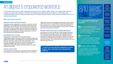# An aligned & empowered workforce

A Connected insurer has an agile organizational structure and is ready to adapt. Teams in the organization embrace change and support the company in recruiting and attracting the right people at the right time. At the same time, Connected insurers foster a customer-centric culture and inspire people to deliver on the customer promise and drive up business performance.

#### **What does good look like?**

#### **Great place to work and magnet for talent**

Employees are kept engaged and connected to their team and their organization. This is especially important when working from home, like during the COVID-19 crisis. The Connected insurer empowers employees to make a tangible impact and rewards commitment with clear signs of appreciation. The attraction and retention of talent are goals high on the CEO agenda. Creating a great place to work is a major step towards realizing those goals.

#### **(Scaled) agile ways of working**

Employees are empowered and encouraged to work in multidisciplinary teams. Processes are lean and flexible enough to be adapted when needed, whilst leadership of Connected insurers allow their team members to take the helm when appropriate. This is achieved using various frameworks as well as by starting small, gradually embedding agile ways of working throughout the organization. Doing so can greatly improve productivity and make employees feel valued.

#### **Customer centric culture**

A Connected insurer centers work around the customer and takes an active approach to improving the customer journey. The workforce

reflects this this view and understands and focuses on doing what is right for the customer. Using methods including leadership, training and incentives such a customer-centric culture can be fostered. A customer-centric culture creates alignment across the firm and builds the insurer's brand with its customers.

#### **Strategic workforce planning and capability development**

Key positions in the firm are filled by the best people and learning and development is focused on what is truly important to the firm. The Connected insurer attracts people with capabilities that are required and in high demand in the market. However, choices need to be made and strategic workforce planning methods are used to make these choices. This ensures that the insurer excels in the most important parts of the firm.

**"I want to be assured that employees are well treated, safe, motivated and empowered to help me"**

HR executives agree that HR needs to **actively challenge the future workforce composition**  (who to buy, build, borrow, bot) in order to meet the future needs of the organization 8/10

Insightdriven strategies & actions

> Innovative products & services

Experiencecentricity by design

**Seamless** interactions & commerce

**Responsive** operations

Aligned & empowered workforce

Source: KPMG HR Transformation

**Our accelerators to build this capability**

— **Scaled agile implementation**

KPMG professionals have broad knowledge of scaled agile approaches and implementation needed to create an agile workforce in your company.

— **Agile leadership**

Working in an agile organization, leadership sets the example. We provide the coaching and inspiration necessary to inspire and equip leaders with the support to champion the agile transformation in their organization.

**Extractedic workforce shaping** 

As the fast adoption of new technologies increasingly shifts the needed skills and capabilities of employees, we work with organizations to seek intelligent and strategic responses to the question of what a futureoriented workforce looks like.

**Digitally** enabled technology

architecture

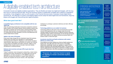# A digitally-enabled tech architecture

Connected insurers are digitally-enabled organizations. They are flexible and adopt new digital technologies, with the longterm focus on reducing technical debt. Since the insurance industry is traditionally inundated with a plethora of regulations and policies, it has struggled to catch up with its peers in the Financial Services sector. Examples include digital banks, payments etc. And although it is great to see fledging digital insurers adopt the latest digital tools and frameworks, large key players still struggle with restructuring their digital ecosystem.

#### **What does good look like?**

#### **A simplified legacy architecture to be compatible with the new digital age**

Often the technology landscapes of insurance companies consist of legacy systems and company-specific internal software systems that are costly to maintain and cannot scale to meet fluctuating market demands. Maximizing the use of standardized software with a focus on customizing only when beneficial, can drive cost efficiencies and achieve faster time-to-market.

#### **Agility is the name of the game**

Every year brings change that can drastically impact the business, whether they are stricter new regulations or unprecedented circumstances like COVID-19. Adapting to such dynamic situations needs iterative, agile delivery mechanisms so insurers can continue to stay ahead of competition and retain customers. Agility is a key ingredient when insurers want to innovate or test new markets simultaneous to existing business.

#### **Embrace micro-services and open APIs to get value from sharing data**

Today's customers value transparent underwriting, instant claims redressal and citizen development via mobile apps and service aggregators. An Open Insurance or API (B2B2C) approach demands architectural flexibility to support data sharing in a simple yet compliant and secure manner, with responsible

institutions to prototype customers distinctly and tailor offerings accordingly.

#### **Technology platforms as an enabler for business**

Technology platforms with built-in tools and frameworks can help insurers build applications that can analyze data and provide valuable insights into performances of different business segments. Integrating modern delivery technologies into the DevOps processes within these platforms can digitize business processes faster and achieve scale in a short time span.

#### **Accelerate cloud-first and SaaS architecture with modern delivery to control costs**

Cloud platforms and other Software-as-a-Service (SaaS) solutions are heavily used. They offer quick-wins in the move to a more digital infrastructure. Specifically, insurers can capitalize on modern CI/CD delivery mechanisms with automated testing in place. This reduces the need for capital intensive and long-term investments in building a unique, personal IT infrastructure, with all the advantages of up-to-date software.

**"Empower me. I want my insurer to equip me digitally to remain connected anytime, anywhere"**

### Enterprise and technical architecture<sup>'</sup>

were among the most felt skills shortages emphasized as a result of the COVID-19 pandemic

Source: Harvey Nash/KPMG CIO Survey 2020

**Our accelerators to build this capability**

### — **Modern delivery methodologies**

KPMG firms work with insurers to guide them through the process of identifying how to make the most out of modern delivery methodologies. Modern delivery practices have the potential to bring speed and agility, ultimately empowering insurers to accelerate in their digital transformations in a costeffective way.

#### — **Cloud automation/migration**

KPMG firms work with insurers to identify systems within the enterprise architecture that can be automated by moving to cloud, thus optimizing operational costs.

Insightdriven strategies & actions

> Innovative products & services

Experiencecentricity by design

**Seamless** interactions & commerce

**Responsive** operations

Aligned & empowered workforce

**Digitally** enabled technology architecture

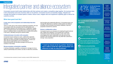# Integrated partner and alliance ecosystem

Connected insurers build trusted relationships with their partners and create a competitive edge together. No business does it all by themselves and every business relies on its partners. Connected insurers successfully engage, integrate and manage third parties to increase speed to market, reduce costs, mitigate risks and supplement capability gaps to deliver the customer promise.

#### **What does good look like?**

#### **A clear view on the ecosystems and relationships that drive success**

There is a clear view on the evolving underlying ecosystems, the role of a company within this ecosystem and the partnerships and relationships required to be successful (e.g. in healthcare, mobility etc.). Connected insurers can leverage these networks by gaining access to additional data or product/services to solidify their position in the sector, ultimately serving the customer better.

#### **Collaborative/open innovation with ecosystem**

Connected insurers embrace an open, collaborative approach towards innovation. Creating and supporting an open innovation effort with an entire ecosystem (including partners, vendors and other relevant organizations such as universities or fintechs/insurtechs) will stimulate synergies and flourish the invention of new ideas.

#### **Strong ecosystem orchestration capability**

A strong orchestration capability is necessary to manage not only a variety of partnerships and vendors, but also to make this connection last throughout the relationship lifecycle. A Connected insurer can manage this effectively to maintain a stable partner and alliance ecosystem with the benefit of providing a stabilized, improved proposition towards the customer.

#### **Nurture a collaborative culture**

Connected insurers are champions for breaking through functional silos. Rather than adopting a 'not invented here' syndrome, Connected insurers welcome disruption in their value chain, encouraging more open collaboration with start-ups and new entrants in the insurance space who may offer their customers a stronger value proposition.

**"I want my insurer to be my partner. Someone who is able to build the right partnerships and alliances to help me stay protected."**



**of Life and Annuity insurers** are **not able to perform comprehensive market scans** for digital disruptors and fintechs themselves.\*

Insightdriven strategies & actions

Innovative products & services

Experiencecentricity by design

**Seamless** interactions & commerce

**Responsive** operations

**Our accelerators to build this capability**

### — **Platform strategy**

KPMG professionals can help you successfully leverage digital platforms and ecosystems to create new business models, increase relevance to your clients, innovate faster and/or defend against digital disruptors.

### — **Business process outsourcing**

Business process outsourcing can help to determine which roles your partners can take on to grow and strengthen the ecosystem.

### — **Alliances and partnerships**

KPMG firms have built a strong network of alliances with some of the world's leading technology, data and services companies. Offering global reach and combined abilities to help solve your most pressing technologybased challenges.

Aligned & empowered workforce

**Digitally** enabled technology architecture

Integrated partner & alliance ecosystem

\*A commissioned study conducted by Forrester Consulting on behalf of KPMG, September 2018.

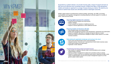# Why KPMG?

Supported by a global network, we provide insurers with a range of support services as they set out to become truly Connected insurers. KPMG firms take a multi-disciplinary, holistic and hands-on approach to a range of issues facing our clients. We stand by our clients to tackle those issues and ultimately achieve meaningful outcomes.

KPMG's global network of professionals combines strategy, technology, risk, M&A, accounting, implementation and regulatory management consulting expertise to provide support in a number of areas. These services include:



#### **Improving digital experience for customers**

- Customer journey analysis and improvement
- Platform strategy
- Fintech analysis and selection of additional services
- Support in license applications to offer additional services



 $\mathcal{L}$ 

#### **Powering insights and decisions with data**

- Data strategy design and implementation
- Master data management business case development, assessment and optimization
- Support to establish data ethics to manage and govern data as an asset
- Advanced Analytics and Business Intelligence subject matter experts to co-create business solutions

#### **Rationalizing the application landscape and moving to the cloud**

- Quick scans and benchmarks of the current landscape
- Integrate business, financial and IT perspectives to build holistic business cases
- Cloud spend analysis and optimization
- Application vendor selection



- Gap analysis of capability maturity model, recommendations and co-design implementation roadmap
- Optimize portfolio management to adapt and re-prioritize quickly to change
- Support in scaling a pilot into an enterprise-wide solution supported through a wide range of implementation services from project management support to on-theground subject matter experts

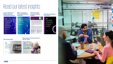# Read our latest insights





**Make a Connection — Connected Enterprise publication**

KHNO

Make

**CIO Survey 2020: Insurance Industry Insights**





#### **CEO Outlook 2020**